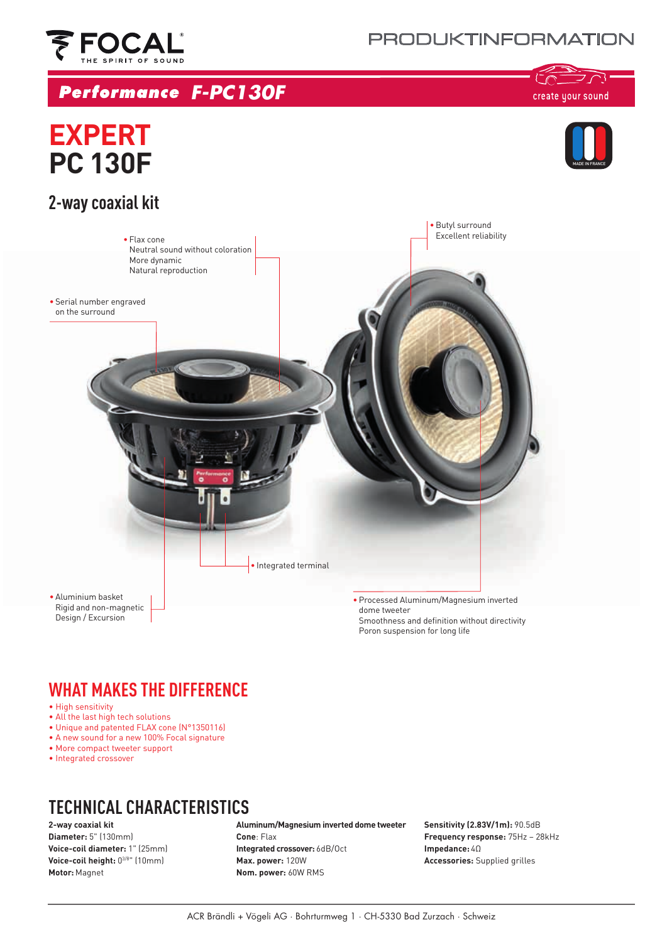



## *F-PC130F*

أستع コご create your sound

# MADE IN FRANCE

## **EXPERT PC 130F**



## **WHAT MAKES THE DIFFERENCE**

- High sensitivity
- All the last high tech solutions
- Unique and patented FLAX cone (N°1350116)
- A new sound for a new 100% Focal signature
- More compact tweeter support
- Integrated crossover

## **TECHNICAL CHARACTERISTICS**

#### **2-way coaxial kit**

**Diameter:** 5" (130mm) **Voice-coil diameter:** 1" (25mm) **Voice-coil height:** 03/8" (10mm) **Motor:** Magnet

#### **Aluminum/Magnesium inverted dome tweeter**

**Cone**: Flax **Integrated crossover:** 6dB/Oct **Max. power:** 120W **Nom. power:** 60W RMS

**Sensitivity (2.83V/1m):** 90.5dB **Frequency response:** 75Hz – 28kHz **Impedance:** 4Ω **Accessories:** Supplied grilles